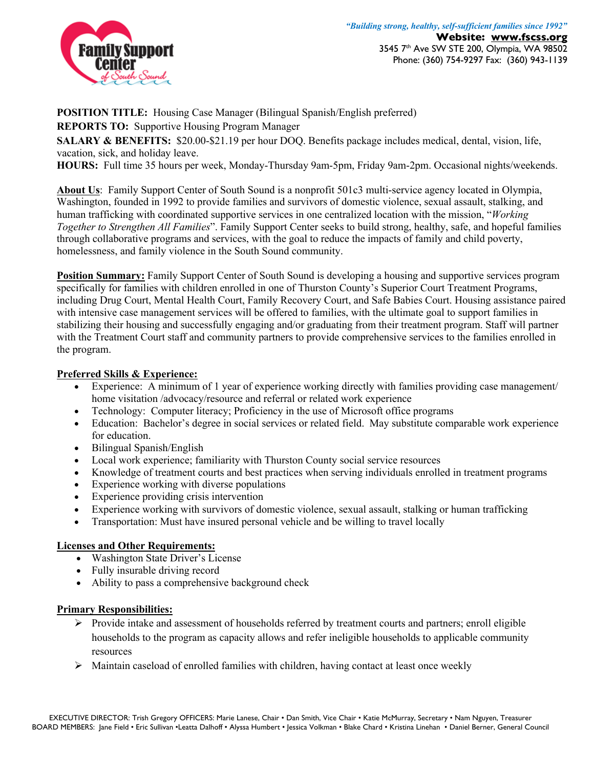

**POSITION TITLE:** Housing Case Manager (Bilingual Spanish/English preferred)

**REPORTS TO:** Supportive Housing Program Manager

**SALARY & BENEFITS:** \$20.00-\$21.19 per hour DOQ. Benefits package includes medical, dental, vision, life, vacation, sick, and holiday leave.

**HOURS:** Full time 35 hours per week, Monday-Thursday 9am-5pm, Friday 9am-2pm. Occasional nights/weekends.

**About Us**: Family Support Center of South Sound is a nonprofit 501c3 multi-service agency located in Olympia, Washington, founded in 1992 to provide families and survivors of domestic violence, sexual assault, stalking, and human trafficking with coordinated supportive services in one centralized location with the mission, "*Working Together to Strengthen All Families*". Family Support Center seeks to build strong, healthy, safe, and hopeful families through collaborative programs and services, with the goal to reduce the impacts of family and child poverty, homelessness, and family violence in the South Sound community.

**Position Summary:** Family Support Center of South Sound is developing a housing and supportive services program specifically for families with children enrolled in one of Thurston County's Superior Court Treatment Programs, including Drug Court, Mental Health Court, Family Recovery Court, and Safe Babies Court. Housing assistance paired with intensive case management services will be offered to families, with the ultimate goal to support families in stabilizing their housing and successfully engaging and/or graduating from their treatment program. Staff will partner with the Treatment Court staff and community partners to provide comprehensive services to the families enrolled in the program.

## **Preferred Skills & Experience:**

- Experience: A minimum of 1 year of experience working directly with families providing case management/ home visitation /advocacy/resource and referral or related work experience
- Technology: Computer literacy; Proficiency in the use of Microsoft office programs
- Education: Bachelor's degree in social services or related field. May substitute comparable work experience for education.
- Bilingual Spanish/English
- Local work experience; familiarity with Thurston County social service resources
- Knowledge of treatment courts and best practices when serving individuals enrolled in treatment programs
- Experience working with diverse populations
- Experience providing crisis intervention
- Experience working with survivors of domestic violence, sexual assault, stalking or human trafficking
- Transportation: Must have insured personal vehicle and be willing to travel locally

## **Licenses and Other Requirements:**

- Washington State Driver's License
- Fully insurable driving record
- Ability to pass a comprehensive background check

## **Primary Responsibilities:**

- $\triangleright$  Provide intake and assessment of households referred by treatment courts and partners; enroll eligible households to the program as capacity allows and refer ineligible households to applicable community resources
- Ø Maintain caseload of enrolled families with children, having contact at least once weekly